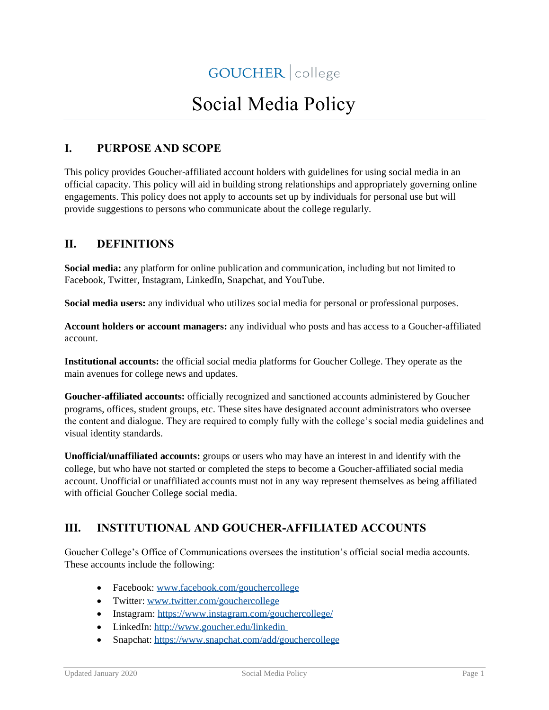# Social Media Policy

# **I. PURPOSE AND SCOPE**

This policy provides Goucher-affiliated account holders with guidelines for using social media in an official capacity. This policy will aid in building strong relationships and appropriately governing online engagements. This policy does not apply to accounts set up by individuals for personal use but will provide suggestions to persons who communicate about the college regularly.

## **II. DEFINITIONS**

**Social media:** any platform for online publication and communication, including but not limited to Facebook, Twitter, Instagram, LinkedIn, Snapchat, and YouTube.

**Social media users:** any individual who utilizes social media for personal or professional purposes.

**Account holders or account managers:** any individual who posts and has access to a Goucher-affiliated account.

**Institutional accounts:** the official social media platforms for Goucher College. They operate as the main avenues for college news and updates.

**Goucher-affiliated accounts:** officially recognized and sanctioned accounts administered by Goucher programs, offices, student groups, etc. These sites have designated account administrators who oversee the content and dialogue. They are required to comply fully with the college's social media guidelines and visual identity standards.

**Unofficial/unaffiliated accounts:** groups or users who may have an interest in and identify with the college, but who have not started or completed the steps to become a Goucher-affiliated social media account. Unofficial or unaffiliated accounts must not in any way represent themselves as being affiliated with official Goucher College social media.

# **III. INSTITUTIONAL AND GOUCHER-AFFILIATED ACCOUNTS**

Goucher College's Office of Communications oversees the institution's official social media accounts. These accounts include the following:

- Facebook[: www.facebook.com/gouchercollege](https://www.facebook.com/gouchercollege)
- Twitter: [www.twitter.com/gouchercollege](https://twitter.com/gouchercollege)
- Instagram:<https://www.instagram.com/gouchercollege/>
- LinkedIn: [http://www.goucher.edu/linkedin](https://www.linkedin.com/school/goucher-college/)
- Snapchat:<https://www.snapchat.com/add/gouchercollege>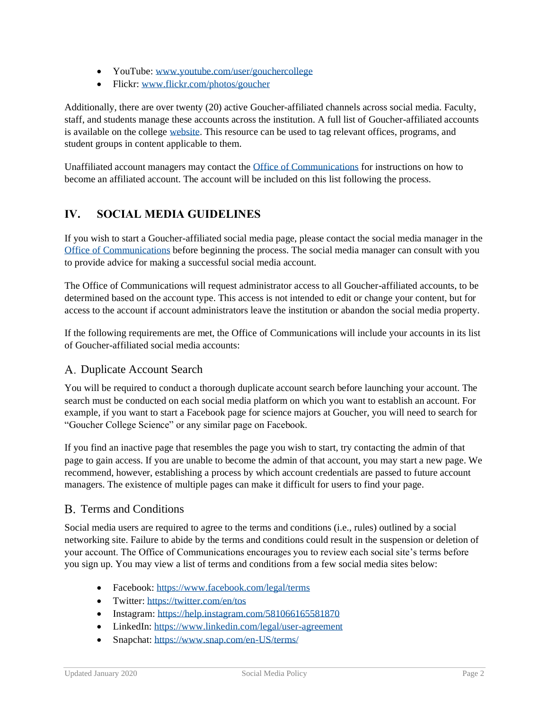- YouTube: [www.youtube.com/user/gouchercollege](https://www.youtube.com/user/gouchercollege)
- Flickr: [www.flickr.com/photos/goucher](https://www.flickr.com/photos/goucher)

Additionally, there are over twenty (20) active Goucher-affiliated channels across social media. Faculty, staff, and students manage these accounts across the institution. A full list of Goucher-affiliated accounts is available on the college [website.](https://www.goucher.edu/social-media/accounts) This resource can be used to tag relevant offices, programs, and student groups in content applicable to them.

Unaffiliated account managers may contact the [Office of Communications](https://www.goucher.edu/office-of-communications/) for instructions on how to become an affiliated account. The account will be included on this list following the process.

# **IV. SOCIAL MEDIA GUIDELINES**

If you wish to start a Goucher-affiliated social media page, please contact the social media manager in the [Office of Communications](https://www.goucher.edu/office-of-communications/) before beginning the process. The social media manager can consult with you to provide advice for making a successful social media account.

The Office of Communications will request administrator access to all Goucher-affiliated accounts, to be determined based on the account type. This access is not intended to edit or change your content, but for access to the account if account administrators leave the institution or abandon the social media property.

If the following requirements are met, the Office of Communications will include your accounts in its list of Goucher-affiliated social media accounts:

#### A. Duplicate Account Search

You will be required to conduct a thorough duplicate account search before launching your account. The search must be conducted on each social media platform on which you want to establish an account. For example, if you want to start a Facebook page for science majors at Goucher, you will need to search for "Goucher College Science" or any similar page on Facebook.

If you find an inactive page that resembles the page you wish to start, try contacting the admin of that page to gain access. If you are unable to become the admin of that account, you may start a new page. We recommend, however, establishing a process by which account credentials are passed to future account managers. The existence of multiple pages can make it difficult for users to find your page.

## B. Terms and Conditions

Social media users are required to agree to the terms and conditions (i.e., rules) outlined by a social networking site. Failure to abide by the terms and conditions could result in the suspension or deletion of your account. The Office of Communications encourages you to review each social site's terms before you sign up. You may view a list of terms and conditions from a few social media sites below:

- Facebook[: https://www.facebook.com/legal/terms](https://www.facebook.com/legal/terms)
- Twitter:<https://twitter.com/en/tos>
- Instagram:<https://help.instagram.com/581066165581870>
- LinkedIn:<https://www.linkedin.com/legal/user-agreement>
- Snapchat:<https://www.snap.com/en-US/terms/>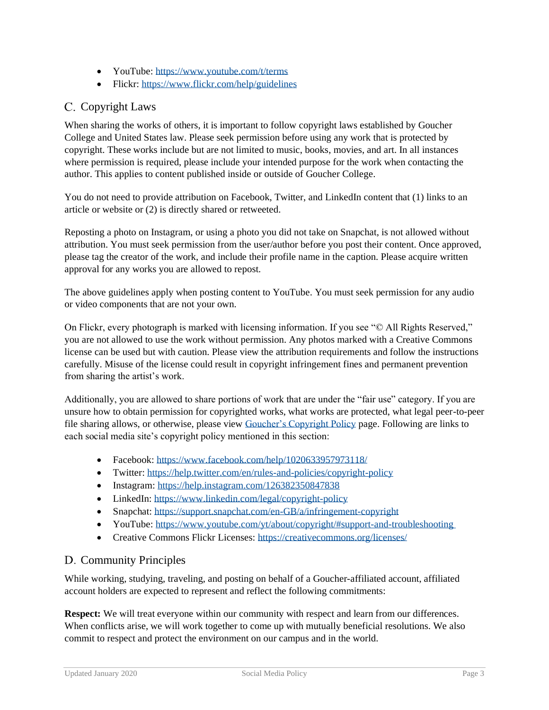- YouTube:<https://www.youtube.com/t/terms>
- Flickr:<https://www.flickr.com/help/guidelines>

# C. Copyright Laws

When sharing the works of others, it is important to follow copyright laws established by Goucher College and United States law. Please seek permission before using any work that is protected by copyright. These works include but are not limited to music, books, movies, and art. In all instances where permission is required, please include your intended purpose for the work when contacting the author. This applies to content published inside or outside of Goucher College.

You do not need to provide attribution on Facebook, Twitter, and LinkedIn content that (1) links to an article or website or (2) is directly shared or retweeted.

Reposting a photo on Instagram, or using a photo you did not take on Snapchat, is not allowed without attribution. You must seek permission from the user/author before you post their content. Once approved, please tag the creator of the work, and include their profile name in the caption. Please acquire written approval for any works you are allowed to repost.

The above guidelines apply when posting content to YouTube. You must seek permission for any audio or video components that are not your own.

On Flickr, every photograph is marked with licensing information. If you see "© All Rights Reserved," you are not allowed to use the work without permission. Any photos marked with a Creative Commons license can be used but with caution. Please view the attribution requirements and follow the instructions carefully. Misuse of the license could result in copyright infringement fines and permanent prevention from sharing the artist's work.

Additionally, you are allowed to share portions of work that are under the "fair use" category. If you are unsure how to obtain permission for copyrighted works, what works are protected, what legal peer-to-peer file sharing allows, or otherwise, please view [Goucher's Copyright Policy](https://www.goucher.edu/policies/copyright-policy/) page. Following are links to each social media site's copyright policy mentioned in this section:

- Facebook[: https://www.facebook.com/help/1020633957973118/](https://www.facebook.com/help/1020633957973118/)
- Twitter:<https://help.twitter.com/en/rules-and-policies/copyright-policy>
- Instagram:<https://help.instagram.com/126382350847838>
- LinkedIn:<https://www.linkedin.com/legal/copyright-policy>
- Snapchat:<https://support.snapchat.com/en-GB/a/infringement-copyright>
- YouTube: [https://www.youtube.com/yt/about/copyright/#support-and-troubleshooting](https://www.youtube.com/about/copyright/#support-and-troubleshooting)
- Creative Commons Flickr Licenses:<https://creativecommons.org/licenses/>

## D. Community Principles

While working, studying, traveling, and posting on behalf of a Goucher-affiliated account, affiliated account holders are expected to represent and reflect the following commitments:

**Respect:** We will treat everyone within our community with respect and learn from our differences. When conflicts arise, we will work together to come up with mutually beneficial resolutions. We also commit to respect and protect the environment on our campus and in the world.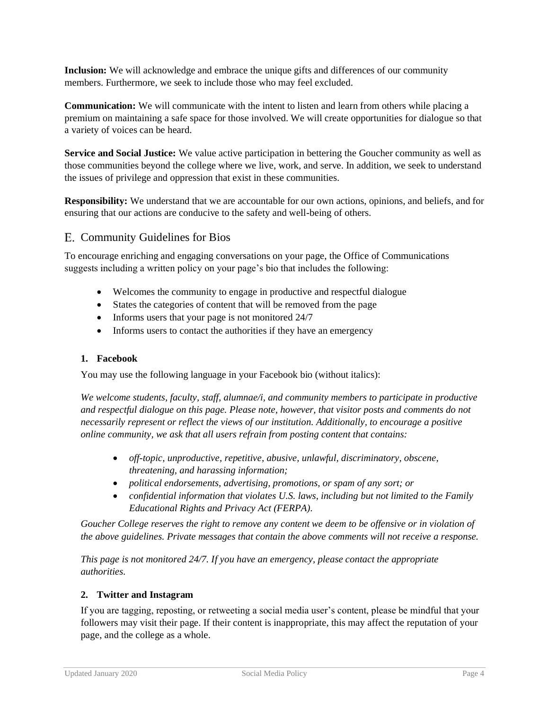**Inclusion:** We will acknowledge and embrace the unique gifts and differences of our community members. Furthermore, we seek to include those who may feel excluded.

**Communication:** We will communicate with the intent to listen and learn from others while placing a premium on maintaining a safe space for those involved. We will create opportunities for dialogue so that a variety of voices can be heard.

**Service and Social Justice:** We value active participation in bettering the Goucher community as well as those communities beyond the college where we live, work, and serve. In addition, we seek to understand the issues of privilege and oppression that exist in these communities.

**Responsibility:** We understand that we are accountable for our own actions, opinions, and beliefs, and for ensuring that our actions are conducive to the safety and well-being of others.

#### E. Community Guidelines for Bios

To encourage enriching and engaging conversations on your page, the Office of Communications suggests including a written policy on your page's bio that includes the following:

- Welcomes the community to engage in productive and respectful dialogue
- States the categories of content that will be removed from the page
- Informs users that your page is not monitored 24/7
- Informs users to contact the authorities if they have an emergency

#### **1. Facebook**

You may use the following language in your Facebook bio (without italics):

*We welcome students, faculty, staff, alumnae/i, and community members to participate in productive and respectful dialogue on this page. Please note, however, that visitor posts and comments do not necessarily represent or reflect the views of our institution. Additionally, to encourage a positive online community, we ask that all users refrain from posting content that contains:*

- *off-topic, unproductive, repetitive, abusive, unlawful, discriminatory, obscene, threatening, and harassing information;*
- *political endorsements, advertising, promotions, or spam of any sort; or*
- *confidential information that violates U.S. laws, including but not limited to the Family Educational Rights and Privacy Act (FERPA).*

*Goucher College reserves the right to remove any content we deem to be offensive or in violation of the above guidelines. Private messages that contain the above comments will not receive a response.*

*This page is not monitored 24/7. If you have an emergency, please contact the appropriate authorities.*

#### **2. Twitter and Instagram**

If you are tagging, reposting, or retweeting a social media user's content, please be mindful that your followers may visit their page. If their content is inappropriate, this may affect the reputation of your page, and the college as a whole.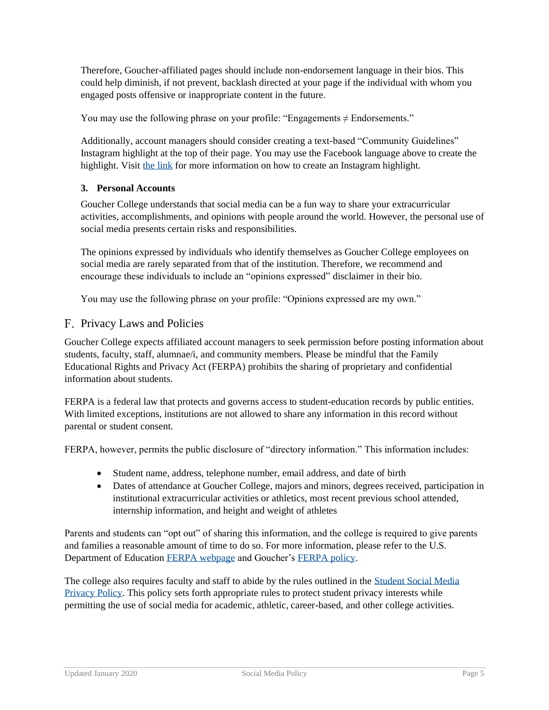Therefore, Goucher-affiliated pages should include non-endorsement language in their bios. This could help diminish, if not prevent, backlash directed at your page if the individual with whom you engaged posts offensive or inappropriate content in the future.

You may use the following phrase on your profile: "Engagements  $\neq$  Endorsements."

Additionally, account managers should consider creating a text-based "Community Guidelines" Instagram highlight at the top of their page. You may use the Facebook language above to create the highlight. Visit [the link](https://help.instagram.com/813938898787367) for more information on how to create an Instagram highlight.

#### **3. Personal Accounts**

Goucher College understands that social media can be a fun way to share your extracurricular activities, accomplishments, and opinions with people around the world. However, the personal use of social media presents certain risks and responsibilities.

The opinions expressed by individuals who identify themselves as Goucher College employees on social media are rarely separated from that of the institution. Therefore, we recommend and encourage these individuals to include an "opinions expressed" disclaimer in their bio.

You may use the following phrase on your profile: "Opinions expressed are my own."

#### F. Privacy Laws and Policies

Goucher College expects affiliated account managers to seek permission before posting information about students, faculty, staff, alumnae/i, and community members. Please be mindful that the Family Educational Rights and Privacy Act (FERPA) prohibits the sharing of proprietary and confidential information about students.

FERPA is a federal law that protects and governs access to student-education records by public entities. With limited exceptions, institutions are not allowed to share any information in this record without parental or student consent.

FERPA, however, permits the public disclosure of "directory information." This information includes:

- Student name, address, telephone number, email address, and date of birth
- Dates of attendance at Goucher College, majors and minors, degrees received, participation in institutional extracurricular activities or athletics, most recent previous school attended, internship information, and height and weight of athletes

Parents and students can "opt out" of sharing this information, and the college is required to give parents and families a reasonable amount of time to do so. For more information, please refer to the U.S. Department of Education [FERPA webpage](https://www2.ed.gov/policy/gen/guid/fpco/ferpa/index.html) and Goucher's [FERPA policy.](https://www.goucher.edu/registrar/ferpa-information/)

The college also requires faculty and staff to abide by the rules outlined in the [Student Social Media](https://www.goucher.edu/policies/documents/Policy-on-Student-Social-Media-Privacy.pdf)  [Privacy Policy.](https://www.goucher.edu/policies/documents/Policy-on-Student-Social-Media-Privacy.pdf) This policy sets forth appropriate rules to protect student privacy interests while permitting the use of social media for academic, athletic, career-based, and other college activities.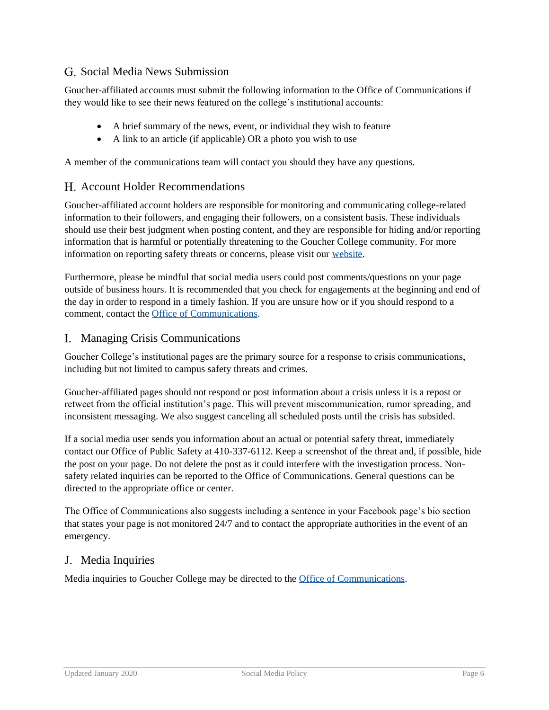## G. Social Media News Submission

Goucher-affiliated accounts must submit the following information to the Office of Communications if they would like to see their news featured on the college's institutional accounts:

- A brief summary of the news, event, or individual they wish to feature
- A link to an article (if applicable) OR a photo you wish to use

A member of the communications team will contact you should they have any questions.

#### Account Holder Recommendations

Goucher-affiliated account holders are responsible for monitoring and communicating college-related information to their followers, and engaging their followers, on a consistent basis. These individuals should use their best judgment when posting content, and they are responsible for hiding and/or reporting information that is harmful or potentially threatening to the Goucher College community. For more information on reporting safety threats or concerns, please visit our [website.](https://www.goucher.edu/campus-safety/report-a-concern/)

Furthermore, please be mindful that social media users could post comments/questions on your page outside of business hours. It is recommended that you check for engagements at the beginning and end of the day in order to respond in a timely fashion. If you are unsure how or if you should respond to a comment, contact the [Office of Communications.](https://www.goucher.edu/office-of-communications/)

#### Managing Crisis Communications

Goucher College's institutional pages are the primary source for a response to crisis communications, including but not limited to campus safety threats and crimes.

Goucher-affiliated pages should not respond or post information about a crisis unless it is a repost or retweet from the official institution's page. This will prevent miscommunication, rumor spreading, and inconsistent messaging. We also suggest canceling all scheduled posts until the crisis has subsided.

If a social media user sends you information about an actual or potential safety threat, immediately contact our Office of Public Safety at 410-337-6112. Keep a screenshot of the threat and, if possible, hide the post on your page. Do not delete the post as it could interfere with the investigation process. Nonsafety related inquiries can be reported to the Office of Communications. General questions can be directed to the appropriate office or center.

The Office of Communications also suggests including a sentence in your Facebook page's bio section that states your page is not monitored 24/7 and to contact the appropriate authorities in the event of an emergency.

#### Media Inquiries

Media inquiries to Goucher College may be directed to the [Office of Communications.](https://www.goucher.edu/office-of-communications/)